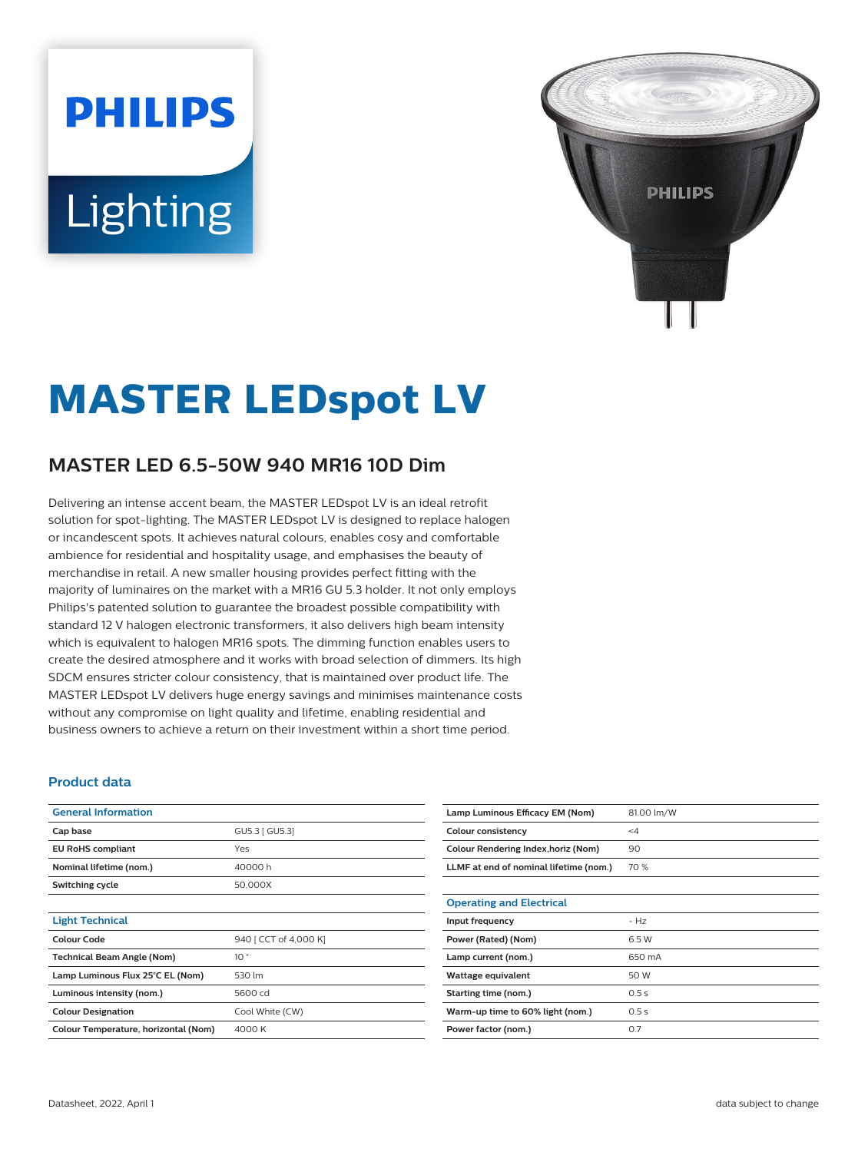# **PHILIPS** Lighting



## **MASTER LEDspot LV**

### **MASTER LED 6.5-50W 940 MR16 10D Dim**

Delivering an intense accent beam, the MASTER LEDspot LV is an ideal retrofit solution for spot-lighting. The MASTER LEDspot LV is designed to replace halogen or incandescent spots. It achieves natural colours, enables cosy and comfortable ambience for residential and hospitality usage, and emphasises the beauty of merchandise in retail. A new smaller housing provides perfect fitting with the majority of luminaires on the market with a MR16 GU 5.3 holder. It not only employs Philips's patented solution to guarantee the broadest possible compatibility with standard 12 V halogen electronic transformers, it also delivers high beam intensity which is equivalent to halogen MR16 spots. The dimming function enables users to create the desired atmosphere and it works with broad selection of dimmers. Its high SDCM ensures stricter colour consistency, that is maintained over product life. The MASTER LEDspot LV delivers huge energy savings and minimises maintenance costs without any compromise on light quality and lifetime, enabling residential and business owners to achieve a return on their investment within a short time period.

#### **Product data**

| <b>General Information</b>           |                       |  |
|--------------------------------------|-----------------------|--|
| Cap base                             | GU5.3   GU5.3]        |  |
| <b>EU RoHS compliant</b>             | Yes                   |  |
| Nominal lifetime (nom.)              | 40000h                |  |
| Switching cycle                      | 50,000X               |  |
|                                      |                       |  |
| <b>Light Technical</b>               |                       |  |
| Colour Code                          | 940 [ CCT of 4,000 K] |  |
| <b>Technical Beam Angle (Nom)</b>    | 10 <sup>o</sup>       |  |
| Lamp Luminous Flux 25°C EL (Nom)     | 530 lm                |  |
| Luminous intensity (nom.)            | 5600 cd               |  |
| <b>Colour Designation</b>            | Cool White (CW)       |  |
| Colour Temperature, horizontal (Nom) | 4000 K                |  |

| Lamp Luminous Efficacy EM (Nom)        | 81.00 lm/W |
|----------------------------------------|------------|
| <b>Colour consistency</b>              | $\leq 4$   |
| Colour Rendering Index, horiz (Nom)    | 90         |
| LLMF at end of nominal lifetime (nom.) | 70 %       |
|                                        |            |
| <b>Operating and Electrical</b>        |            |
| Input frequency                        | $- Hz$     |
| Power (Rated) (Nom)                    | 6.5 W      |
| Lamp current (nom.)                    | 650 mA     |
| Wattage equivalent                     | 50 W       |
| Starting time (nom.)                   | 0.5s       |
| Warm-up time to 60% light (nom.)       | 0.5s       |
| Power factor (nom.)                    | 0.7        |
|                                        |            |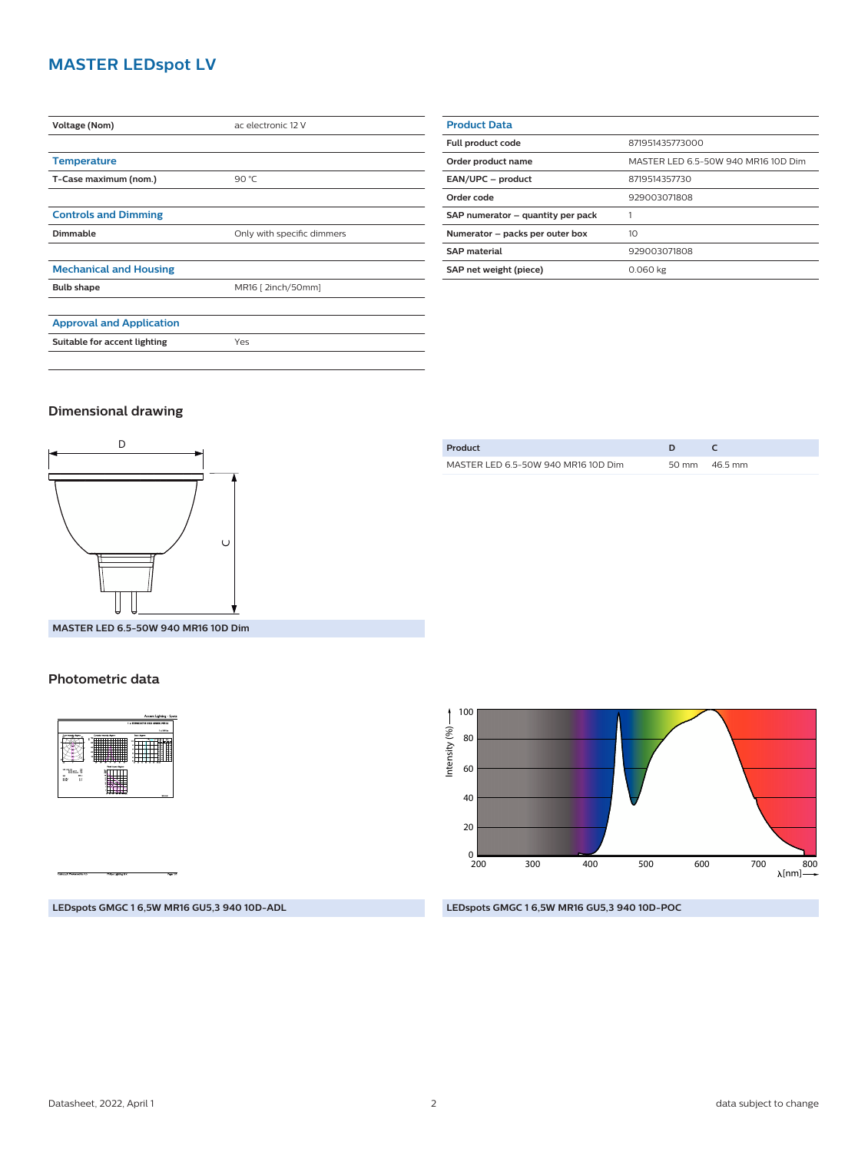#### **MASTER LEDspot LV**

| <b>Voltage (Nom)</b>            | ac electronic 12 V         |  |
|---------------------------------|----------------------------|--|
|                                 |                            |  |
| <b>Temperature</b>              |                            |  |
| T-Case maximum (nom.)           | 90 $°C$                    |  |
|                                 |                            |  |
| <b>Controls and Dimming</b>     |                            |  |
| Dimmable                        | Only with specific dimmers |  |
|                                 |                            |  |
| <b>Mechanical and Housing</b>   |                            |  |
| <b>Bulb shape</b>               | MR16 [ 2inch/50mm]         |  |
|                                 |                            |  |
| <b>Approval and Application</b> |                            |  |
| Suitable for accent lighting    | Yes                        |  |
|                                 |                            |  |

| <b>Product Data</b>               |                                     |
|-----------------------------------|-------------------------------------|
| <b>Full product code</b>          | 871951435773000                     |
| Order product name                | MASTER LED 6.5-50W 940 MR16 10D Dim |
| EAN/UPC - product                 | 8719514357730                       |
| Order code                        | 929003071808                        |
| SAP numerator - quantity per pack |                                     |
| Numerator - packs per outer box   | 10                                  |
| <b>SAP material</b>               | 929003071808                        |
| SAP net weight (piece)            | 0.060 kg                            |

#### **Dimensional drawing**



| Product                             |                 |
|-------------------------------------|-----------------|
| MASTER LED 6.5-50W 940 MR16 10D Dim | 50 mm $46.5$ mm |
|                                     |                 |

**MASTER LED 6.5-50W 940 MR16 10D Dim**

#### **Photometric data**



Intensity  $(% ) \longrightarrow$ Intensity (%) 80 60 40 20  $_{200}^0$ 700 800 200 300 400 500 600  $\lambda$ [nm]-

#### **LEDspots GMGC 1 6,5W MR16 GU5,3 940 10D-ADL**

#### **LEDspots GMGC 1 6,5W MR16 GU5,3 940 10D-POC**

100